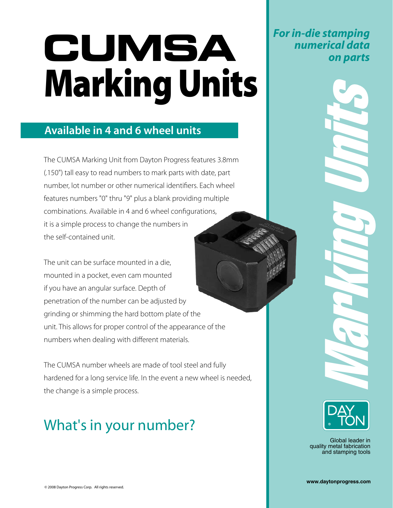# Marking Units **CUMSA**

### **Available in 4 and 6 wheel units**

The CUMSA Marking Unit from Dayton Progress features 3.8mm (.150") tall easy to read numbers to mark parts with date, part number, lot number or other numerical identifiers. Each wheel features numbers "0" thru "9" plus a blank providing multiple combinations. Available in 4 and 6 wheel configurations, it is a simple process to change the numbers in the self-contained unit.

The unit can be surface mounted in a die, mounted in a pocket, even cam mounted if you have an angular surface. Depth of penetration of the number can be adjusted by grinding or shimming the hard bottom plate of the unit. This allows for proper control of the appearance of the numbers when dealing with different materials.

The CUMSA number wheels are made of tool steel and fully hardened for a long service life. In the event a new wheel is needed, the change is a simple process.

## What's in your number?

*For in-die stamping numerical data on parts*



Marking Units

Global leader in quality metal fabrication and stamping tools